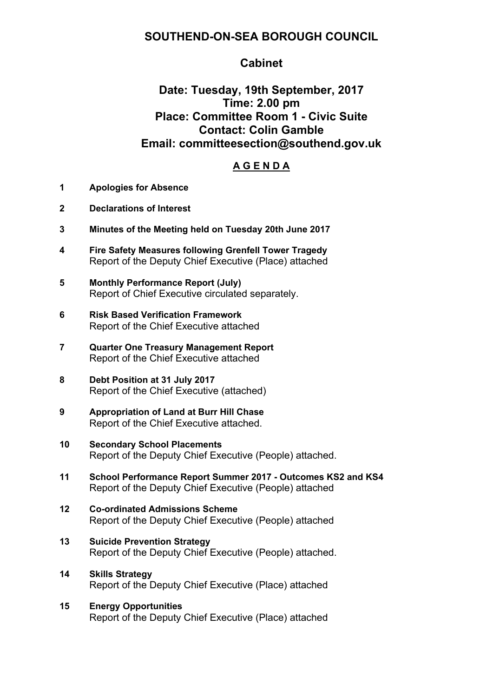## **SOUTHEND-ON-SEA BOROUGH COUNCIL**

### **Cabinet**

# **Date: Tuesday, 19th September, 2017 Time: 2.00 pm Place: Committee Room 1 - Civic Suite Contact: Colin Gamble Email: committeesection@southend.gov.uk**

#### **A G E N D A**

- **1 Apologies for Absence**
- **2 Declarations of Interest**
- **3 Minutes of the Meeting held on Tuesday 20th June 2017**
- **4 Fire Safety Measures following Grenfell Tower Tragedy** Report of the Deputy Chief Executive (Place) attached
- **5 Monthly Performance Report (July)** Report of Chief Executive circulated separately.
- **6 Risk Based Verification Framework** Report of the Chief Executive attached
- **7 Quarter One Treasury Management Report** Report of the Chief Executive attached
- **8 Debt Position at 31 July 2017** Report of the Chief Executive (attached)
- **9 Appropriation of Land at Burr Hill Chase** Report of the Chief Executive attached.
- **10 Secondary School Placements** Report of the Deputy Chief Executive (People) attached.
- **11 School Performance Report Summer 2017 - Outcomes KS2 and KS4** Report of the Deputy Chief Executive (People) attached
- **12 Co-ordinated Admissions Scheme** Report of the Deputy Chief Executive (People) attached
- **13 Suicide Prevention Strategy** Report of the Deputy Chief Executive (People) attached.
- **14 Skills Strategy** Report of the Deputy Chief Executive (Place) attached
- **15 Energy Opportunities** Report of the Deputy Chief Executive (Place) attached